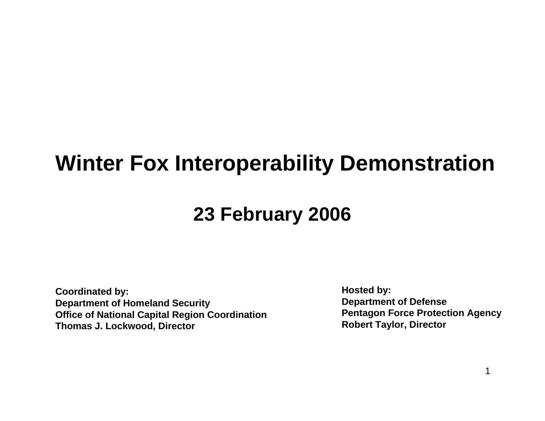### **Winter Fox Interoperability Demonstration**

### **23 February 2006**

**Coordinated by: Department of Homeland Security Office of National Capital R e gion Coordination Thomas J. Lockwood, Director**

**Hosted b y: Department of Defense Pentagon Force Protection Agency Robert Taylor, Director**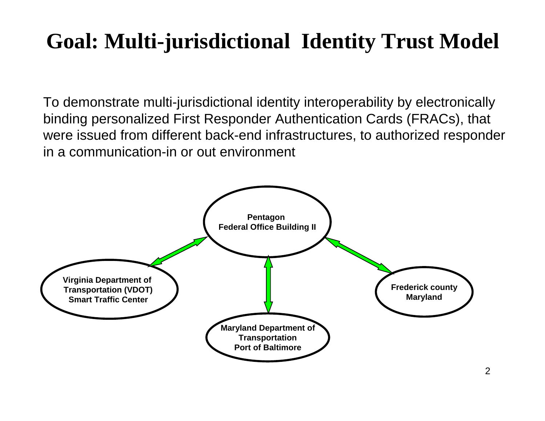### **Goal: Multi-jurisdictional Identity Trust Model**

To demonstrate multi-jurisdictional identity interoperability by electronically binding personalized First Responder Authentication Cards (FRACs), that were issued from different back-end infrastructures, to authorized responder in a communication-in or out environment

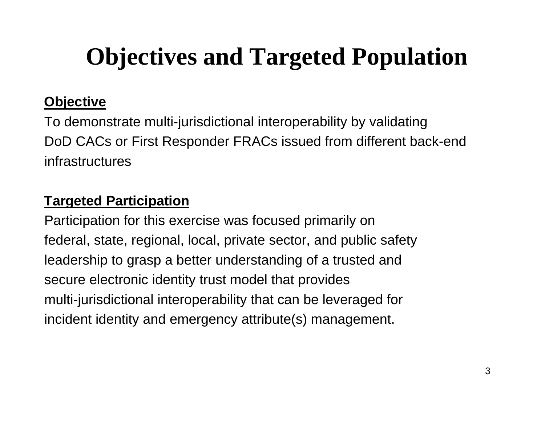# **Objectives and Targeted Population**

### **Objective**

To demonstrate multi-jurisdictional interoperability by validating DoD CACs or First Responder FRACs issued from different back-end infrastructures

### **Targeted Participation**

Participation for this exercise was focused primarily on federal, state, regional, local, private sector, and public safety leadership to grasp a better understanding of a trusted and secure electronic identity trust model that provides multi-jurisdictional interoperability that can be leveraged for incident identity and emergency attribute(s) management.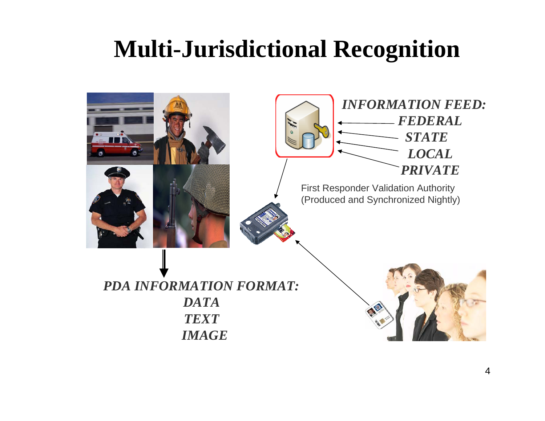### **Multi-Jurisdictional Recognition**

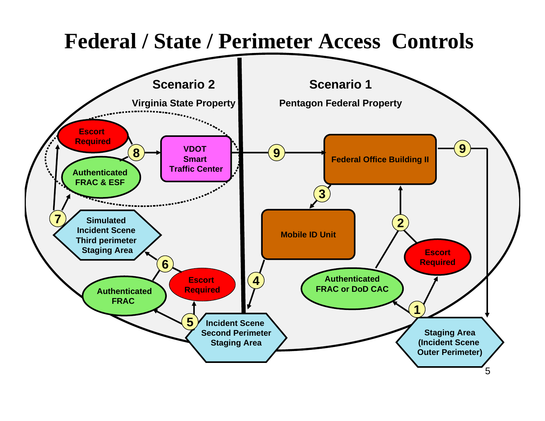### **Federal / State / Perimeter Access Controls**

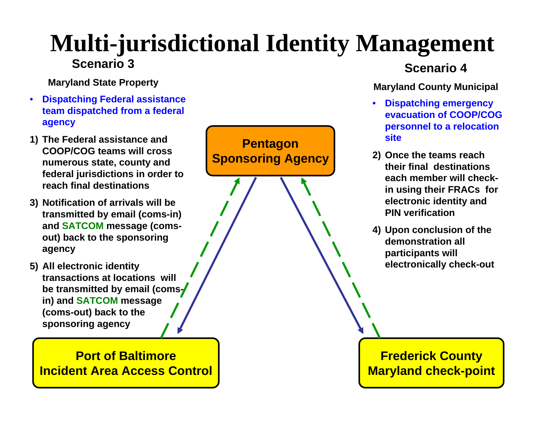### **Multi-jurisdictional Identity Management Scenario 3**

**Mar yland State Property**

- **Dispatching Federal assistance team dispatched from a federal agency**
- **1) The Federal assistance and COOP/COG teams will cross numerous state, county and federal jurisdictions in order to reach final destinations**
- **3) Notification of arrivals will be transmitted by email (coms-in) and SATCOM message (comsout) back to the sponsorin g agency**
- **5) All electronic identity transactions at locations will be transmitted by email (comsin) and SATCOM message (coms-o ut) b ack to the spo n soring agency**

#### **Port of BaltimoreIncident Area Access Control**



#### **Scenario 4**

#### **Mar yland Count y Municipal**

- **Dispatching emergen c y evacuation of COOP/COG personnel to a relocation site**
- **2) Once the teams reach their final destinations each member will checkin using their FRACs for electronic identity and PIN verification**
- **4) Upon conclusion of the demonstration all participants will electronically check-out**

6 **Maryland check-point Frederick County**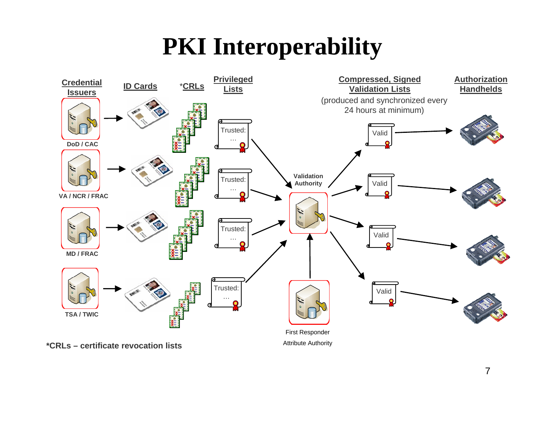## **PKI Interoperability**

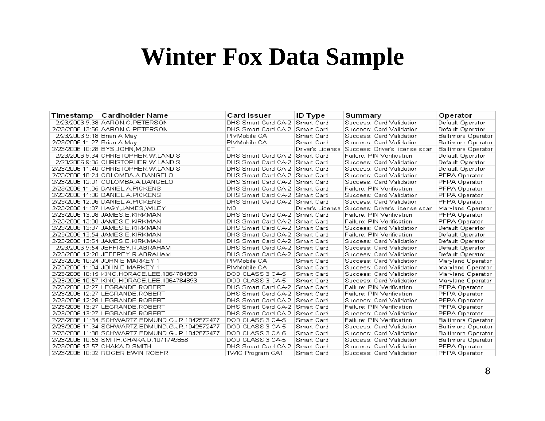### **Winter Fox Data Sample**

| Timestamp                   | ∣Cardholder Name                                | Card Issuer                      | <b>ID Type</b>   | Summary                                         | Operator                  |
|-----------------------------|-------------------------------------------------|----------------------------------|------------------|-------------------------------------------------|---------------------------|
|                             | 2/23/2006 9:38 AARON.C.PETERSON                 | DHS Smart Card CA-2   Smart Card |                  | Success: Card Validation                        | Default Operator          |
|                             | 2/23/2006 13:55 AARON.C.PETERSON                | DHS Smart Card CA-2 Smart Card   |                  | Success: Card Validation                        | Default Operator          |
| 2/23/2006 9:18 Brian A May  |                                                 | PIVMobile CA                     | Smart Card       | Success: Card Validation                        | <b>Baltimore Operator</b> |
| 2/23/2006 11:27 Brian A May |                                                 | PIVMobile CA                     | Smart Card       | Success: Card Validation                        | <b>Baltimore Operator</b> |
|                             | 2/23/2006 10:28 BYS,JOHN,M,2ND                  | СT                               | Driver's License | Success: Driver's license scan                  | <b>Baltimore Operator</b> |
|                             | 2/23/2006 9:34 CHRISTOPHER.W.LANDIS             | DHS Smart Card CA-2 Smart Card   |                  | Failure: PIN Verification                       | Default Operator          |
|                             | 2/23/2006 9:35 CHRISTOPHER.W.LANDIS             | DHS Smart Card CA-2 Smart Card   |                  | Success: Card Validation                        | Default Operator          |
|                             | 2/23/2006 11:40 CHRISTOPHER.W.LANDIS            | DHS Smart Card CA-2   Smart Card |                  | Success: Card Validation                        | Default Operator          |
|                             | 2/23/2006 10:24 COLOMBA.A.DANGELO               | DHS Smart Card CA-2   Smart Card |                  | Success: Card Validation                        | PFPA Operator             |
|                             | 2/23/2006 12:01 COLOMBA.A.DANGELO               | DHS Smart Card CA-2 Smart Card   |                  | Success: Card Validation                        | PFPA Operator             |
|                             | 2/23/2006 11:05 DANIEL.A.PICKENS                | DHS Smart Card CA-2   Smart Card |                  | Failure: PIN Verification                       | PFPA Operator             |
|                             | 2/23/2006 11:06 DANIEL.A.PICKENS                | DHS Smart Card CA-2 Smart Card   |                  | Success: Card Validation                        | PFPA Operator             |
|                             | 2/23/2006 12:06 DANIEL.A.PICKENS                | DHS Smart Card CA-2 Smart Card   |                  | Success: Card Validation                        | PFPA Operator             |
|                             | 2/23/2006 11:07 HAGY JAMES WILEY,               | MD                               |                  | Driver's License Success: Driver's license scan | Maryland Operator         |
|                             | 2/23/2006 13:08 JAMES.E.KIRKMAN                 | DHS Smart Card CA-2   Smart Card |                  | <b>Failure: PIN Verification</b>                | PFPA Operator             |
|                             | 2/23/2006 13:08 JAMES.E.KIRKMAN                 | DHS Smart Card CA-2 Smart Card   |                  | Failure: PIN Verification                       | PFPA Operator             |
|                             | 2/23/2006 13:37 JAMES.E.KIRKMAN                 | DHS Smart Card CA-2 Smart Card   |                  | Success: Card Validation                        | Default Operator          |
|                             | 2/23/2006 13:54 JAMES.E.KIRKMAN                 | DHS Smart Card CA-2 Smart Card   |                  | Failure: PIN Verification                       | Default Operator          |
|                             | 2/23/2006 13:54 JAMES.E.KIRKMAN                 | DHS Smart Card CA-2 Smart Card   |                  | Success: Card Validation                        | Default Operator          |
|                             | 2/23/2006 9:54 JEFFREY.R.ABRAHAM                | DHS Smart Card CA-2   Smart Card |                  | Success: Card Validation                        | Default Operator          |
|                             | 2/23/2006 12:28 JEFFREY.R.ABRAHAM               | DHS Smart Card CA-2   Smart Card |                  | Success: Card Validation                        | Default Operator          |
|                             | 2/23/2006 10:24 JOHN E MARKEY 1                 | PIVMobile CA                     | Smart Card       | Success: Card Validation                        | Maryland Operator         |
|                             | 2/23/2006 11:04 JOHN E MARKEY 1                 | PIVMobile CA                     | Smart Card       | Success: Card Validation                        | Maryland Operator         |
|                             | 2/23/2006 10:15 KING.HORACE.LEE.1064784893      | DOD CLASS 3 CA-5                 | Smart Card       | Success: Card Validation                        | Maryland Operator         |
|                             | 2/23/2006 10:57 KING.HORACE.LEE.1064784893      | DOD CLASS 3 CA-5                 | Smart Card       | Success: Card Validation                        | Maryland Operator         |
|                             | 2/23/2006 12:27 LEGRANDE.ROBERT                 | DHS Smart Card CA-2   Smart Card |                  | Failure: PIN Verification                       | PFPA Operator             |
|                             | 2/23/2006 12:27 LEGRANDE.ROBERT                 | DHS Smart Card CA-2   Smart Card |                  | Failure: PIN Verification                       | PFPA Operator             |
|                             | 2/23/2006 12:28 LEGRANDE.ROBERT                 | DHS Smart Card CA-2   Smart Card |                  | Success: Card Validation                        | PFPA Operator             |
|                             | 2/23/2006 13:27 LEGRANDE.ROBERT                 | DHS Smart Card CA-2 Smart Card   |                  | Failure: PIN Verification                       | PFPA Operator             |
|                             | 2/23/2006 13:27 LEGRANDE.ROBERT                 | DHS Smart Card CA-2   Smart Card |                  | Success: Card Validation                        | PFPA Operator             |
|                             | 2/23/2006 11:34 SCHWARTZ.EDMUND.G.JR.1042572477 | DOD CLASS 3 CA-5                 | Smart Card       | Failure: PIN Verification                       | <b>Baltimore Operator</b> |
|                             | 2/23/2006 11:34 SCHWARTZ.EDMUND.G.JR.1042572477 | DOD CLASS 3 CA-5                 | Smart Card       | Success: Card Validation                        | <b>Baltimore Operator</b> |
|                             | 2/23/2006 11:38 SCHWARTZ.EDMUND.G.JR.1042572477 | DOD CLASS 3 CA-5                 | Smart Card       | Success: Card Validation                        | <b>Baltimore Operator</b> |
|                             | 2/23/2006 10:53 SMITH.CHAKA.D.1071749858        | DOD CLASS 3 CA-5                 | Smart Card       | Success: Card Validation                        | <b>Baltimore Operator</b> |
|                             | 2/23/2006 13:57 CHAKA.D.SMITH                   | DHS Smart Card CA-2 Smart Card   |                  | Success: Card Validation                        | PFPA Operator             |
|                             | 2/23/2006 10:02 ROGER EWIN ROEHR                | TWIC Program CA1                 | Smart Card       | Success: Card Validation                        | PFPA Operator             |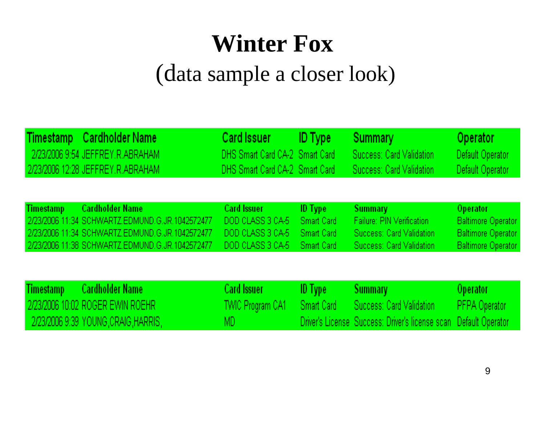## **Winter Fox**  (data sample a closer look)

| <b>Timestamp</b> | <b>Cardholder Name</b><br>2/23/2006 9:54 JEFFREY.R.ABRAHAM<br>2/23/2006 12:28 JEFFREY, R. ABRAHAM                                                                               | <b>Card Issuer</b><br>DHS Smart Card CA-2 Smart Card<br>DHS Smart Card CA-2 Smart Card | <b>ID</b> Type                                    | Summary<br>Success: Card Validation<br>Success: Card Validation                                                   | Operator<br>Default Operator<br>Default Operator                                                       |
|------------------|---------------------------------------------------------------------------------------------------------------------------------------------------------------------------------|----------------------------------------------------------------------------------------|---------------------------------------------------|-------------------------------------------------------------------------------------------------------------------|--------------------------------------------------------------------------------------------------------|
| <b>Timestamp</b> | <b>Cardholder Name</b><br>2/23/2006 11:34 SCHWARTZ.EDMUND.G.JR.1042572477<br>2/23/2006 11:34 SCHWARTZ.EDMUND.G.JR.1042572477<br>2/23/2006 11:38 SCHWARTZ.EDMUND.G.JR.1042572477 | <b>Card Issuer</b><br>DOD CLASS 3 CA-5<br>DOD CLASS 3 CA-5<br>DOD CLASS 3 CA-5         | ID Type<br>Smart Card<br>Smart Card<br>Smart Card | <b>Summary</b><br><b>Failure: PIN Verification</b><br>Success: Card Validation<br>Success: Card Validation        | <b>Operator</b><br><b>Baltimore Operator</b><br><b>Baltimore Operator</b><br><b>Baltimore Operator</b> |
| Timestamp        | <b>Cardholder Name</b><br>12/23/2006 10:02 ROGER EWIN ROEHR I<br>- 2/23/2006 9:39 YOUNG,CRAIG,HARRIS,                                                                           | <b>Card Issuer</b><br>TWIC Program CA1 –<br>MD.                                        | ID Type<br>Smart Card                             | <b>Summary</b><br>Success: Card Validation<br>Driver's License, Success: Driver's license scan, Default Operator, | Operator<br>PFPA Operator                                                                              |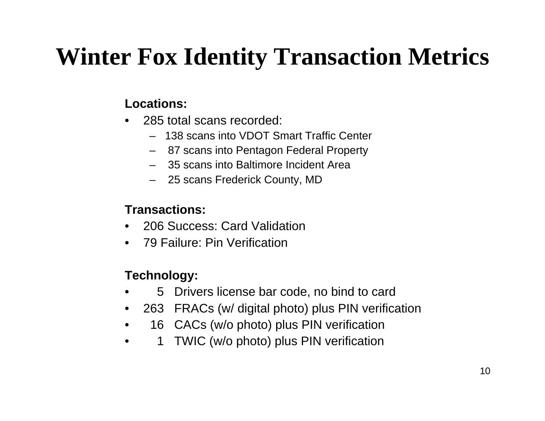## **Winter Fox Identity Transaction Metrics**

#### **Locations:**

- • 285 total scans recorded:
	- 138 scans into VDOT Smart Traffic Center
	- 87 scans into Pentagon Federal Property
	- –35 scans into Baltimore Incident Area
	- 25 scans Frederick County, MD

#### **Transactions:**

- •206 Success: Card Validation
- 79 Failure: Pin Verification

#### **Technology:**

- •5Drivers license bar code, no bind to card
- •263 FRACs (w/ digital photo) plus PIN verification
- •16 CACs (w/o photo) plus PIN verification
- •1TWIC (w/o photo) plus PIN verification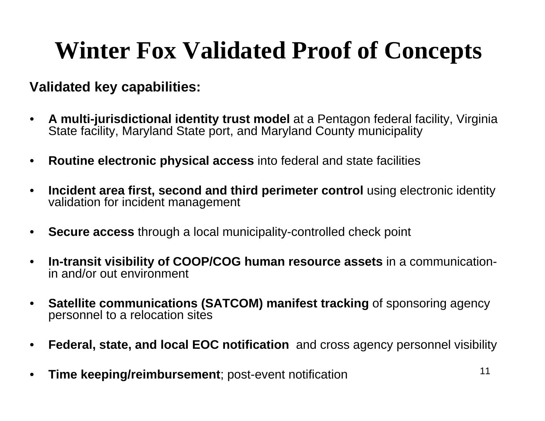### **Winter Fox Validated Proof of Concepts**

#### **Validated key capabilities:**

- • **A multi-jurisdictional identity trust model** at a Pentagon federal facility, Virginia State facility, Maryland State port, and Maryland County municipality
- $\bullet$ **Routine electronic physical access** into federal and state facilities
- • **Incident area first, second and third perimeter control** using electronic identity validation for incident management
- $\bullet$ **Secure access** through a local municipality-controlled check point
- $\bullet$  **In-transit visibility of COOP/COG human resource assets** in a communicationin and/or out environment
- **Satellite communications (SATCOM) manifest tracking** of sponsoring agency personnel to a relocation sites
- •**Federal, state, and local EOC notification** and cross agency personnel visibility
- •**Time keeping/reimbursement**; post-event notification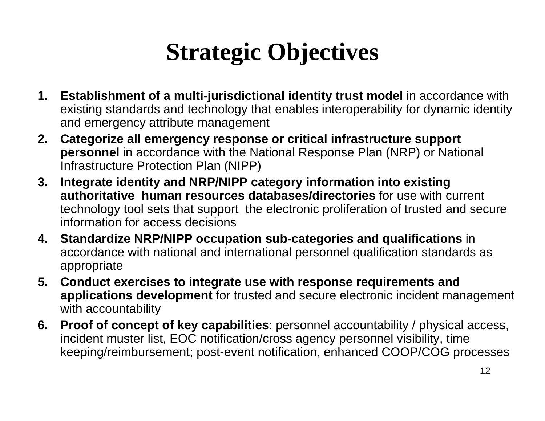## **Strategic Objectives**

- **1. Establishment of a multi-jurisdictional identity trust model** in accordance with existing standards and technology that enables interoperability for dynamic identity and emergency attribute management
- **2. Categorize all emergency response or critical infrastructure support personnel** in accordance with the National Response Plan (NRP) or National Infrastructure Protection Plan (NIPP)
- **3. Integrate identity and NRP/NIPP category information into existing authoritative human resources databases/directories** for use with current technology tool sets that support the electronic proliferation of trusted and secure information for access decisions
- **4. Standardize NRP/NIPP occupation sub-categories and qualifications** in accordance with national and international personnel qualification standards as appropriate
- **5. Conduct exercises to integrate use with response requirements and applications development** for trusted and secure electronic incident management with accountability
- **6. Proof of concept of key capabilities**: personnel accountability / physical access, incident muster list, EOC notification/cross agency personnel visibility, time keeping/reimbursement; post-event notification, enhanced COOP/COG processes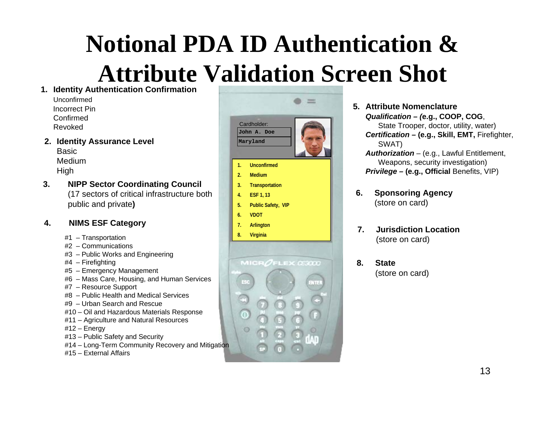## **Notional PDA ID Authentication & Attribute Validation Screen Shot**

**1. Identity Authentication Confirmation**

UnconfirmedIncorrect PinConfirmedRevoked

**2. Identity Assurance Level** BasicMedium

**High** 

**3. NIPP Sector Coordinating Council** (17 sectors of critical infrastructure both public and private**)**

#### **4.NIMS ESF Category**

- #1 Transportation
- #2 Communications
- #3 Public Works and Engineering

#4 – Firefighting

- #5 Emergency Management
- #6 Mass Care, Housing, and Human Services
- #7 Resource Support
- #8 Public Health and Medical Services
- #9 Urban Search and Rescue
- #10 Oil and Hazardous Materials Response
- #11 Agriculture and Natural Resources

#12 – Energy

- #13 Public Safety and Security
- #14 Long-Term Community Recovery and Mitigation
- #15 External Affairs



- **5. Attribute Nomenclature***Qualification – (***e.g., COOP, COG**, State Trooper, doctor, utility, water) *Certification –* **(e.g., Skill, EMT,** Firefighter, SWAT) *Authorization* – (e.g., Lawful Entitlement, Weapons, security investigation) *Privilege –* **(e.g., Official** Benefits, VIP)
- **6. Sponsoring Agency** (store on card)
- **7. Jurisdiction Location**(store on card)
- **8. State**(store on card)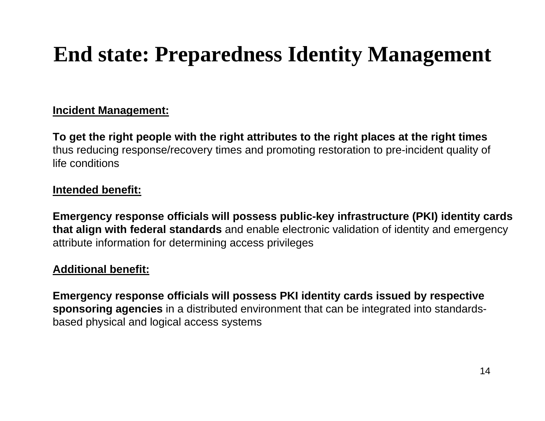### **End state: Preparedness Identity Management**

#### **Incident Management:**

**To get the right people with the right attributes to the right places at t he right times** thus reducing response/recovery times and promoting restoration to pre-incident quality of life conditions

#### **Intended benefit:**

**Emergency response officials will possess public-key infrastructure (PKI) identity cards that align with federal standards** and enable electronic validation of identity and emergency attribute infor mation for determining access privileges

#### **Additional benefit:**

**Emergency response officials will possess PKI identity cards issued by respective sponsoring agencies** in a distributed environment that can be integrated into standardsbased physical and logical access systems